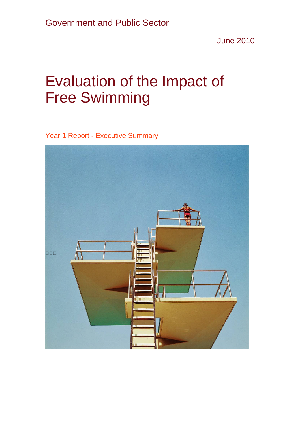June 2010

## Evaluation of the Impact of Free Swimming

Year 1 Report - Executive Summary

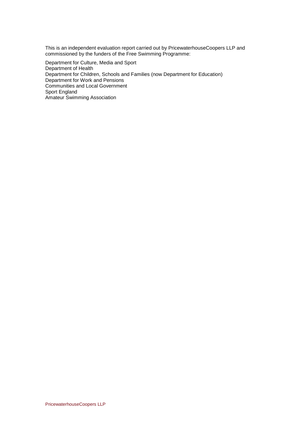This is an independent evaluation report carried out by PricewaterhouseCoopers LLP and commissioned by the funders of the Free Swimming Programme:

Department for Culture, Media and Sport Department of Health Department for Children, Schools and Families (now Department for Education) Department for Work and Pensions Communities and Local Government Sport England Amateur Swimming Association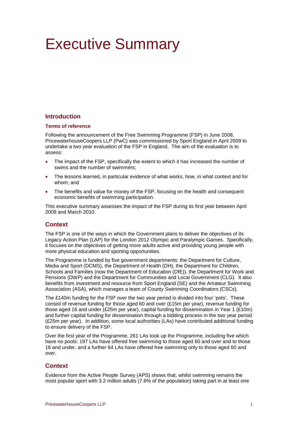# Executive Summary

## **Introduction**

#### **Terms of reference**

Following the announcement of the Free Swimming Programme (FSP) in June 2008, PricewaterhouseCoopers LLP (PwC) was commissioned by Sport England in April 2009 to undertake a two year evaluation of the FSP in England. The aim of the evaluation is to assess:

- The impact of the FSP, specifically the extent to which it has increased the number of swims and the number of swimmers;
- The lessons learned, in particular evidence of what works, how, in what context and for whom; and
- The benefits and value for money of the FSP, focusing on the health and consequent economic benefits of swimming participation.

This executive summary assesses the impact of the FSP during its first year between April 2009 and March 2010.

## **Context**

The FSP is one of the ways in which the Government plans to deliver the objectives of its Legacy Action Plan (LAP) for the London 2012 Olympic and Paralympic Games. Specifically, it focuses on the objectives of getting more adults active and providing young people with more physical education and sporting opportunities.

The Programme is funded by five government departments: the Department for Culture, Media and Sport (DCMS), the Department of Health (DH), the Department for Children, Schools and Families (now the Department of Education (DfE)), the Department for Work and Pensions (DWP) and the Department for Communities and Local Government (CLG). It also benefits from investment and resource from Sport England (SE) and the Amateur Swimming Association (ASA), which manages a team of County Swimming Coordinators (CSCs).

The £140m funding for the FSP over the two year period is divided into four 'pots'. These consist of revenue funding for those aged 60 and over (£15m per year), revenue funding for those aged 16 and under (£25m per year), capital funding for dissemination in Year 1 (£10m) and further capital funding for dissemination through a bidding process in the two year period (£25m per year). In addition, some local authorities (LAs) have contributed additional funding to ensure delivery of the FSP.

Over the first year of the Programme, 261 LAs took up the Programme, including five which have no pools: 197 LAs have offered free swimming to those aged 60 and over and to those 16 and under, and a further 64 LAs have offered free swimming only to those aged 60 and over.

## **Context**

Evidence from the Active People Survey (APS) shows that, whilst swimming remains the most popular sport with 3.2 million adults (7.6% of the population) taking part in at least one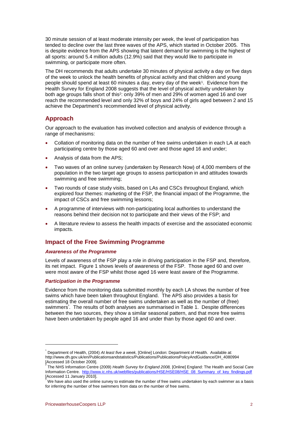30 minute session of at least moderate intensity per week, the level of participation has tended to decline over the last three waves of the APS, which started in October 2005. This is despite evidence from the APS showing that latent demand for swimming is the highest of all sports: around 5.4 million adults (12.9%) said that they would like to participate in swimming, or participate more often.

The DH recommends that adults undertake 30 minutes of physical activity a day on five days of the week to unlock the health benefits of physical activity and that children and young people should spend at least 60 minutes a day, every day of the week1. Evidence from the Health Survey for England 2008 suggests that the level of physical activity undertaken by both age groups falls short of this<sup>2</sup>: only 39% of men and 29% of women aged 16 and over reach the recommended level and only 32% of boys and 24% of girls aged between 2 and 15 achieve the Department's recommended level of physical activity.

## **Approach**

Our approach to the evaluation has involved collection and analysis of evidence through a range of mechanisms:

- Collation of monitoring data on the number of free swims undertaken in each LA at each participating centre by those aged 60 and over and those aged 16 and under;
- Analysis of data from the APS;
- Two waves of an online survey (undertaken by Research Now) of 4,000 members of the population in the two target age groups to assess participation in and attitudes towards swimming and free swimming;
- Two rounds of case study visits, based on LAs and CSCs throughout England, which explored four themes: marketing of the FSP, the financial impact of the Programme, the impact of CSCs and free swimming lessons;
- A programme of interviews with non-participating local authorities to understand the reasons behind their decision not to participate and their views of the FSP; and
- A literature review to assess the health impacts of exercise and the associated economic impacts.

## **Impact of the Free Swimming Programme**

#### *Awareness of the Programme*

Levels of awareness of the FSP play a role in driving participation in the FSP and, therefore, its net impact. Figure 1 shows levels of awareness of the FSP. Those aged 60 and over were most aware of the FSP whilst those aged 16 were least aware of the Programme.

#### *Participation in the Programme*

Evidence from the monitoring data submitted monthly by each LA shows the number of free swims which have been taken throughout England. The APS also provides a basis for estimating the overall number of free swims undertaken as well as the number of (free) swimmers<sup>3</sup>. The results of both analyses are summarised in Table 1. Despite differences between the two sources, they show a similar seasonal pattern, and that more free swims have been undertaken by people aged 16 and under than by those aged 60 and over.

<sup>&</sup>lt;sup>1</sup> Department of Health, (2004) *At least five a week*, [Online] London: Department of Health. Available at: http://www.dh.gov.uk/en/Publicationsandstatistics/Publications/PublicationsPolicyAndGuidance/DH\_4080994 [Accessed 18 October 2009]. 2

The NHS Information Centre (2009) *Health Survey for England 2008,* [Online] England: The Health and Social Care Information Centre. http://www.ic.nhs.uk/webfiles/publications/HSE/HSE08/HSE\_08\_Summary\_of\_key\_findings.pdf [Accessed 11 January 2010].

 $3$  We have also used the online survey to estimate the number of free swims undertaken by each swimmer as a basis for inferring the number of free swimmers from data on the number of free swims.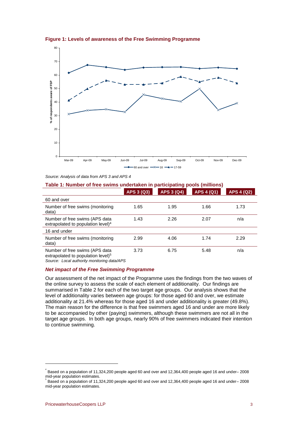



*Source: Analysis of data from APS 3 and APS 4* 

### **Table 1: Number of free swims undertaken in participating pools (millions)**

|                                                                                  | APS 3 (Q3) | <b>APS 3 (Q4)</b> | <b>APS 4 (Q1)</b> | <b>APS 4 (Q2)</b> |
|----------------------------------------------------------------------------------|------------|-------------------|-------------------|-------------------|
| 60 and over                                                                      |            |                   |                   |                   |
| Number of free swims (monitoring<br>data)                                        | 1.65       | 1.95              | 1.66              | 1.73              |
| Number of free swims (APS data<br>extrapolated to population level) $4$          | 1.43       | 2.26              | 2.07              | n/a               |
| 16 and under                                                                     |            |                   |                   |                   |
| Number of free swims (monitoring<br>data)                                        | 2.99       | 4.06              | 1.74              | 2.29              |
| Number of free swims (APS data<br>extrapolated to population level) <sup>5</sup> | 3.73       | 6.75              | 5.48              | n/a               |

*Source: Local authority monitoring data/APS* 

#### *Net impact of the Free Swimming Programme*

Our assessment of the net impact of the Programme uses the findings from the two waves of the online survey to assess the scale of each element of additionality. Our findings are summarised in Table 2 for each of the two target age groups. Our analysis shows that the level of additionality varies between age groups: for those aged 60 and over, we estimate additionality at 21.4% whereas for those aged 16 and under additionality is greater (49.8%). The main reason for the difference is that free swimmers aged 16 and under are more likely to be accompanied by other (paying) swimmers, although these swimmers are not all in the target age groups. In both age groups, nearly 90% of free swimmers indicated their intention to continue swimming.

 $^{4}$  Based on a population of 11,324,200 people aged 60 and over and 12,364,400 people aged 16 and under– 2008 mid-year population estimates. 5

Based on a population of 11,324,200 people aged 60 and over and 12,364,400 people aged 16 and under– 2008 mid-year population estimates.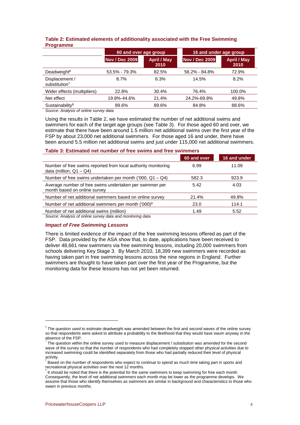|                                             | 60 and over age group |                            | 16 and under age group |                            |
|---------------------------------------------|-----------------------|----------------------------|------------------------|----------------------------|
|                                             | <b>Nov / Dec 2009</b> | <b>April / May</b><br>2010 | <b>Nov / Dec 2009</b>  | <b>April / May</b><br>2010 |
| Deadweight <sup>6</sup>                     | 53.5% - 79.3%         | 82.5%                      | 56.2% - 84.8%          | 72.9%                      |
| Displacement /<br>substitution <sup>7</sup> | 8.7%                  | 6.3%                       | 14.5%                  | 8.2%                       |
| Wider effects (multipliers)                 | 22.8%                 | 30.4%                      | 76.4%                  | 100.0%                     |
| Net effect                                  | 19.8%-44.6%           | 21.4%                      | 24.2%-69.8%            | 49.8%                      |
| Sustainability <sup>8</sup>                 | 89.6%                 | 89.6%                      | 84.8%                  | 88.6%                      |

#### **Table 2: Estimated elements of additionality associated with the Free Swimming Programme**

*Source: Analysis of online survey data* 

Using the results in Table 2, we have estimated the number of net additional swims and swimmers for each of the target age groups (see Table 3). For those aged 60 and over, we estimate that there have been around 1.5 million net additional swims over the first year of the FSP by about 23,000 net additional swimmers. For those aged 16 and under, there have been around 5.5 million net additional swims and just under 115,000 net additional swimmers.

#### **Table 3: Estimated net number of free swims and free swimmers**

|                                                                                             | 60 and over | 16 and under |
|---------------------------------------------------------------------------------------------|-------------|--------------|
| Number of free swims reported from local authority monitoring<br>data (million, $Q1 - Q4$ ) | 6.99        | 11.09        |
| Number of free swims undertaken per month ('000, $Q1 - Q4$ )                                | 582.3       | 923.9        |
| Average number of free swims undertaken per swimmer per<br>month based on online survey     | 5.42        | 4.03         |
| Number of net additional swimmers based on online survey                                    | 21.4%       | 49.8%        |
| Number of net additional swimmers per month ('000) <sup>9</sup>                             | 23.0        | 114.1        |
| Number of net additional swims (million)                                                    | 1.49        | 5.52         |

*Source: Analysis of online survey data and monitoring data* 

#### *Impact of Free Swimming Lessons*

There is limited evidence of the impact of the free swimming lessons offered as part of the FSP. Data provided by the ASA show that, to date, applications have been received to deliver 48,661 new swimmers via free swimming lessons, including 20,000 swimmers from schools delivering Key Stage 3. By March 2010, 18,399 new swimmers were recorded as having taken part in free swimming lessons across the nine regions in England. Further swimmers are thought to have taken part over the first year of the Programme, but the monitoring data for these lessons has not yet been returned.

 $\degree$  The question used to estimate deadweight was amended between the first and second waves of the online survey so that respondents were asked to attribute a probability to the likelihood that they would have swum anyway in the absence of the FSP.

The question within the online survey used to measure displacement / substitution was amended for the second wave of the survey so that the number of respondents who had completely stopped other physical activities due to increased swimming could be identified separately from those who had partially reduced their level of physical activity.

Based on the number of respondents who expect to continue to spend as much time taking part in sports and recreational physical activities over the next 12 months.

It should be noted that there is the potential for the same swimmers to keep swimming for free each month. Consequently, the level of net additional swimmers each month may be lower as the programme develops. We assume that those who identify themselves as swimmers are similar in background and characteristics to those who swam in previous months.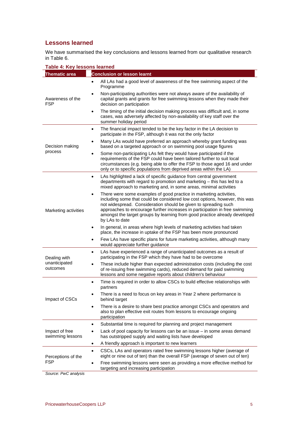## **Lessons learned**

We have summarised the key conclusions and lessons learned from our qualitative research in Table 6.

| Table 4: Key lessons learned              |                                                                                                                                                                                                                                                                                                                                                                                                                  |  |  |  |
|-------------------------------------------|------------------------------------------------------------------------------------------------------------------------------------------------------------------------------------------------------------------------------------------------------------------------------------------------------------------------------------------------------------------------------------------------------------------|--|--|--|
| <b>Thematic area</b>                      | <b>Conclusion or lesson learnt</b>                                                                                                                                                                                                                                                                                                                                                                               |  |  |  |
| Awareness of the<br><b>FSP</b>            | All LAs had a good level of awareness of the free swimming aspect of the<br>$\bullet$<br>Programme                                                                                                                                                                                                                                                                                                               |  |  |  |
|                                           | Non-participating authorities were not always aware of the availability of<br>$\bullet$<br>capital grants and grants for free swimming lessons when they made their<br>decision on participation                                                                                                                                                                                                                 |  |  |  |
|                                           | The timing of the initial decision making process was difficult and, in some<br>$\bullet$<br>cases, was adversely affected by non-availability of key staff over the<br>summer holiday period                                                                                                                                                                                                                    |  |  |  |
| Decision making<br>process                | The financial impact tended to be the key factor in the LA decision to<br>$\bullet$<br>participate in the FSP, although it was not the only factor                                                                                                                                                                                                                                                               |  |  |  |
|                                           | Many LAs would have preferred an approach whereby grant funding was<br>٠<br>based on a targeted approach or on swimming pool usage figures                                                                                                                                                                                                                                                                       |  |  |  |
|                                           | Some non-participating LAs felt they would have participated if the<br>$\bullet$<br>requirements of the FSP could have been tailored further to suit local<br>circumstances (e.g. being able to offer the FSP to those aged 16 and under<br>only or to specific populations from deprived areas within the LA)                                                                                                   |  |  |  |
| Marketing activities                      | LAs highlighted a lack of specific guidance from central government<br>$\bullet$<br>departments with regard to promotion and marketing $-$ this has led to a<br>mixed approach to marketing and, in some areas, minimal activities                                                                                                                                                                               |  |  |  |
|                                           | There were some examples of good practice in marketing activities,<br>$\bullet$<br>including some that could be considered low cost options, however, this was<br>not widespread. Consideration should be given to spreading such<br>approaches to encourage further increases in participation in free swimming<br>amongst the target groups by learning from good practice already developed<br>by LAs to date |  |  |  |
|                                           | In general, in areas where high levels of marketing activities had taken<br>$\bullet$<br>place, the increase in uptake of the FSP has been more pronounced                                                                                                                                                                                                                                                       |  |  |  |
|                                           | Few LAs have specific plans for future marketing activities, although many<br>$\bullet$<br>would appreciate further guidance                                                                                                                                                                                                                                                                                     |  |  |  |
| Dealing with<br>unanticipated<br>outcomes | LAs have experienced a range of unanticipated outcomes as a result of<br>$\bullet$<br>participating in the FSP which they have had to be overcome                                                                                                                                                                                                                                                                |  |  |  |
|                                           | These include higher than expected administration costs (including the cost<br>$\bullet$<br>of re-issuing free swimming cards), reduced demand for paid swimming<br>lessons and some negative reports about children's behaviour                                                                                                                                                                                 |  |  |  |
| Impact of CSCs                            | Time is required in order to allow CSCs to build effective relationships with<br>$\bullet$<br>partners                                                                                                                                                                                                                                                                                                           |  |  |  |
|                                           | There is a need to focus on key areas in Year 2 where performance is<br>٠<br>behind target                                                                                                                                                                                                                                                                                                                       |  |  |  |
|                                           | There is a desire to share best practice amongst CSCs and operators and<br>$\bullet$<br>also to plan effective exit routes from lessons to encourage ongoing<br>participation                                                                                                                                                                                                                                    |  |  |  |
| Impact of free<br>swimming lessons        | Substantial time is required for planning and project management<br>٠                                                                                                                                                                                                                                                                                                                                            |  |  |  |
|                                           | Lack of pool capacity for lessons can be an issue - in some areas demand<br>٠<br>has outstripped supply and waiting lists have developed                                                                                                                                                                                                                                                                         |  |  |  |
|                                           | A friendly approach is important to new learners<br>٠                                                                                                                                                                                                                                                                                                                                                            |  |  |  |
| Perceptions of the<br><b>FSP</b>          | CSCs, LAs and operators rated free swimming lessons higher (average of<br>$\bullet$<br>eight or nine out of ten) than the overall FSP (average of seven out of ten)                                                                                                                                                                                                                                              |  |  |  |
|                                           | Free swimming lessons were seen as providing a more effective method for<br>$\bullet$<br>targeting and increasing participation                                                                                                                                                                                                                                                                                  |  |  |  |

*Source: PwC analysis*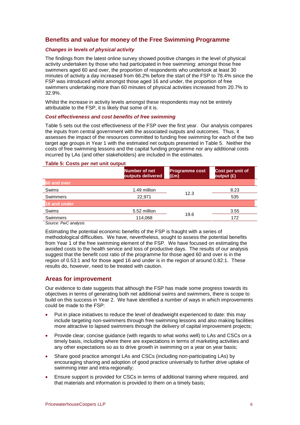## **Benefits and value for money of the Free Swimming Programme**

#### *Changes in levels of physical activity*

The findings from the latest online survey showed positive changes in the level of physical activity undertaken by those who had participated in free swimming: amongst those free swimmers aged 60 and over, the proportion of respondents who undertook at least 30 minutes of activity a day increased from 66.2% before the start of the FSP to 78.4% since the FSP was introduced whilst amongst those aged 16 and under, the proportion of free swimmers undertaking more than 60 minutes of physical activities increased from 20.7% to 32.9%.

Whilst the increase in activity levels amongst these respondents may not be entirely attributable to the FSP, it is likely that some of it is.

#### *Cost effectiveness and cost benefits of free swimming*

Table 5 sets out the cost effectiveness of the FSP over the first year. Our analysis compares the inputs from central government with the associated outputs and outcomes. Thus, it assesses the impact of the resources committed to funding free swimming for each of the two target age groups in Year 1 with the estimated net outputs presented in Table 5. Neither the costs of free swimming lessons and the capital funding programme nor any additional costs incurred by LAs (and other stakeholders) are included in the estimates.

#### **Table 5: Costs per net unit output**

| Number of net<br>outputs delivered | <b>Programme cost</b><br>$(\text{Em})$ | Cost per unit of<br>output (£) |
|------------------------------------|----------------------------------------|--------------------------------|
|                                    |                                        |                                |
| 1.49 million                       |                                        | 8.23                           |
| 22.971                             |                                        | 535                            |
|                                    |                                        |                                |
| 5.52 million                       |                                        | 3.55                           |
| 114,068                            |                                        | 172                            |
|                                    |                                        | 12.3<br>19.6                   |

*Source: PwC analysis* 

Estimating the potential economic benefits of the FSP is fraught with a series of methodological difficulties. We have, nevertheless, sought to assess the potential benefits from Year 1 of the free swimming element of the FSP. We have focused on estimating the avoided costs to the health service and loss of productive days. The results of our analysis suggest that the benefit cost ratio of the programme for those aged 60 and over is in the region of 0.53:1 and for those aged 16 and under is in the region of around 0.82:1. These results do, however, need to be treated with caution.

## **Areas for improvement**

Our evidence to date suggests that although the FSP has made some progress towards its objectives in terms of generating both net additional swims and swimmers, there is scope to build on this success in Year 2. We have identified a number of ways in which improvements could be made to the FSP:

- Put in place initiatives to reduce the level of deadweight experienced to date: this may include targeting non-swimmers through free swimming lessons and also making facilities more attractive to lapsed swimmers through the delivery of capital improvement projects;
- Provide clear, concise guidance (with regards to what works well) to LAs and CSCs on a timely basis, including where there are expectations in terms of marketing activities and any other expectations so as to drive growth in swimming on a year on year basis;
- Share good practice amongst LAs and CSCs (including non-participating LAs) by encouraging sharing and adoption of good practice universally to further drive uptake of swimming inter and intra-regionally;
- Ensure support is provided for CSCs in terms of additional training where required, and that materials and information is provided to them on a timely basis;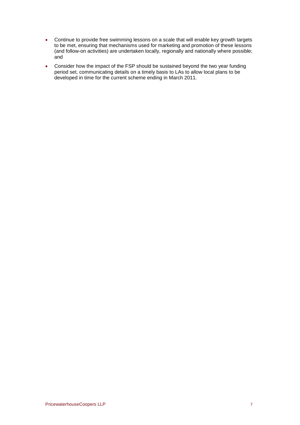- Continue to provide free swimming lessons on a scale that will enable key growth targets to be met, ensuring that mechanisms used for marketing and promotion of these lessons (and follow-on activities) are undertaken locally, regionally and nationally where possible; and
- Consider how the impact of the FSP should be sustained beyond the two year funding period set, communicating details on a timely basis to LAs to allow local plans to be developed in time for the current scheme ending in March 2011.